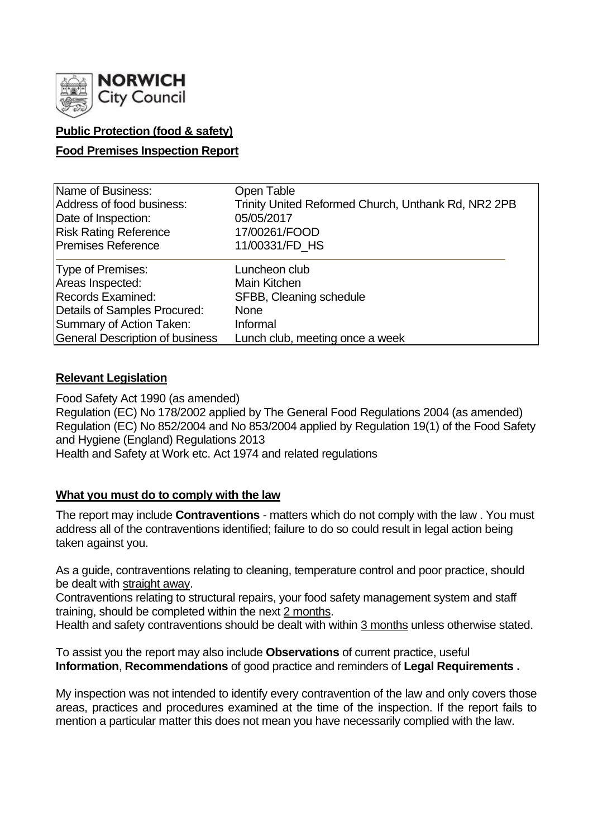

## **Public Protection (food & safety)**

### **Food Premises Inspection Report**

| Name of Business:               | Open Table                                          |
|---------------------------------|-----------------------------------------------------|
| Address of food business:       | Trinity United Reformed Church, Unthank Rd, NR2 2PB |
| Date of Inspection:             | 05/05/2017                                          |
| <b>Risk Rating Reference</b>    | 17/00261/FOOD                                       |
| Premises Reference              | 11/00331/FD HS                                      |
| Type of Premises:               | Luncheon club                                       |
| Areas Inspected:                | Main Kitchen                                        |
| Records Examined:               | SFBB, Cleaning schedule                             |
| Details of Samples Procured:    | <b>None</b>                                         |
| Summary of Action Taken:        | Informal                                            |
| General Description of business | Lunch club, meeting once a week                     |

## **Relevant Legislation**

Food Safety Act 1990 (as amended) Regulation (EC) No 178/2002 applied by The General Food Regulations 2004 (as amended) Regulation (EC) No 852/2004 and No 853/2004 applied by Regulation 19(1) of the Food Safety and Hygiene (England) Regulations 2013 Health and Safety at Work etc. Act 1974 and related regulations

### **What you must do to comply with the law**

The report may include **Contraventions** - matters which do not comply with the law . You must address all of the contraventions identified; failure to do so could result in legal action being taken against you.

As a guide, contraventions relating to cleaning, temperature control and poor practice, should be dealt with straight away.

Contraventions relating to structural repairs, your food safety management system and staff training, should be completed within the next 2 months.

Health and safety contraventions should be dealt with within 3 months unless otherwise stated.

To assist you the report may also include **Observations** of current practice, useful **Information**, **Recommendations** of good practice and reminders of **Legal Requirements .**

My inspection was not intended to identify every contravention of the law and only covers those areas, practices and procedures examined at the time of the inspection. If the report fails to mention a particular matter this does not mean you have necessarily complied with the law.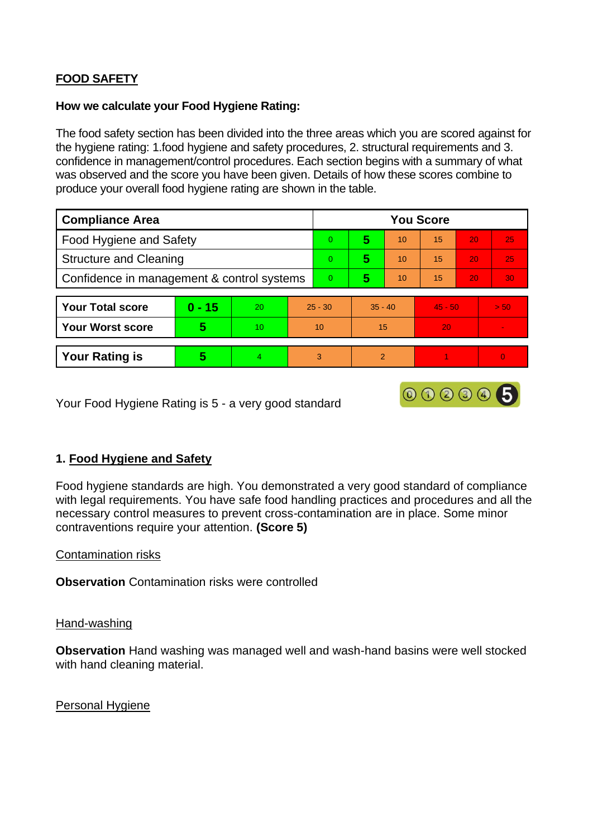# **FOOD SAFETY**

#### **How we calculate your Food Hygiene Rating:**

The food safety section has been divided into the three areas which you are scored against for the hygiene rating: 1.food hygiene and safety procedures, 2. structural requirements and 3. confidence in management/control procedures. Each section begins with a summary of what was observed and the score you have been given. Details of how these scores combine to produce your overall food hygiene rating are shown in the table.

| <b>Compliance Area</b>                     |          |    |           | <b>You Score</b> |               |    |           |    |          |  |
|--------------------------------------------|----------|----|-----------|------------------|---------------|----|-----------|----|----------|--|
| Food Hygiene and Safety                    |          |    |           | $\overline{0}$   | 5             | 10 | 15        | 20 | 25       |  |
| <b>Structure and Cleaning</b>              |          |    |           | $\overline{0}$   | 5             | 10 | 15        | 20 | 25       |  |
| Confidence in management & control systems |          |    |           | $\overline{0}$   | 5             | 10 | 15        | 20 | 30       |  |
|                                            |          |    |           |                  |               |    |           |    |          |  |
| <b>Your Total score</b>                    | $0 - 15$ | 20 | $25 - 30$ |                  | $35 - 40$     |    | $45 - 50$ |    | > 50     |  |
| <b>Your Worst score</b>                    | 5        | 10 | 10        |                  | 15            |    | 20        |    |          |  |
|                                            |          |    |           |                  |               |    |           |    |          |  |
| <b>Your Rating is</b>                      | 5        | 4  | 3         |                  | $\mathcal{P}$ |    |           |    | $\Omega$ |  |

Your Food Hygiene Rating is 5 - a very good standard

## **1. Food Hygiene and Safety**

Food hygiene standards are high. You demonstrated a very good standard of compliance with legal requirements. You have safe food handling practices and procedures and all the necessary control measures to prevent cross-contamination are in place. Some minor contraventions require your attention. **(Score 5)**

000005

### Contamination risks

**Observation** Contamination risks were controlled

#### Hand-washing

**Observation** Hand washing was managed well and wash-hand basins were well stocked with hand cleaning material.

Personal Hygiene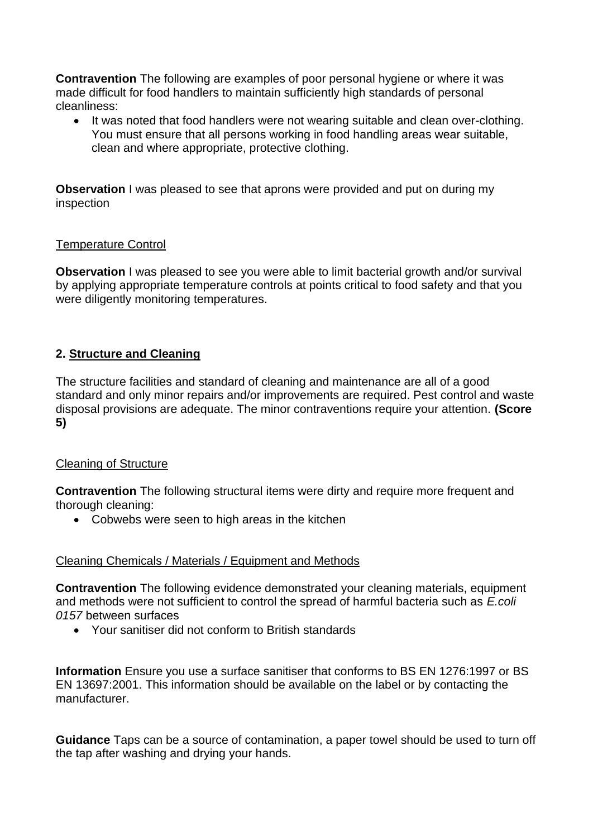**Contravention** The following are examples of poor personal hygiene or where it was made difficult for food handlers to maintain sufficiently high standards of personal cleanliness:

It was noted that food handlers were not wearing suitable and clean over-clothing. You must ensure that all persons working in food handling areas wear suitable, clean and where appropriate, protective clothing.

**Observation** I was pleased to see that aprons were provided and put on during my inspection

### Temperature Control

**Observation** I was pleased to see you were able to limit bacterial growth and/or survival by applying appropriate temperature controls at points critical to food safety and that you were diligently monitoring temperatures.

## **2. Structure and Cleaning**

The structure facilities and standard of cleaning and maintenance are all of a good standard and only minor repairs and/or improvements are required. Pest control and waste disposal provisions are adequate. The minor contraventions require your attention. **(Score 5)**

### Cleaning of Structure

**Contravention** The following structural items were dirty and require more frequent and thorough cleaning:

• Cobwebs were seen to high areas in the kitchen

### Cleaning Chemicals / Materials / Equipment and Methods

**Contravention** The following evidence demonstrated your cleaning materials, equipment and methods were not sufficient to control the spread of harmful bacteria such as *E.coli 0157* between surfaces

• Your sanitiser did not conform to British standards

**Information** Ensure you use a surface sanitiser that conforms to BS EN 1276:1997 or BS EN 13697:2001. This information should be available on the label or by contacting the manufacturer.

**Guidance** Taps can be a source of contamination, a paper towel should be used to turn off the tap after washing and drying your hands.